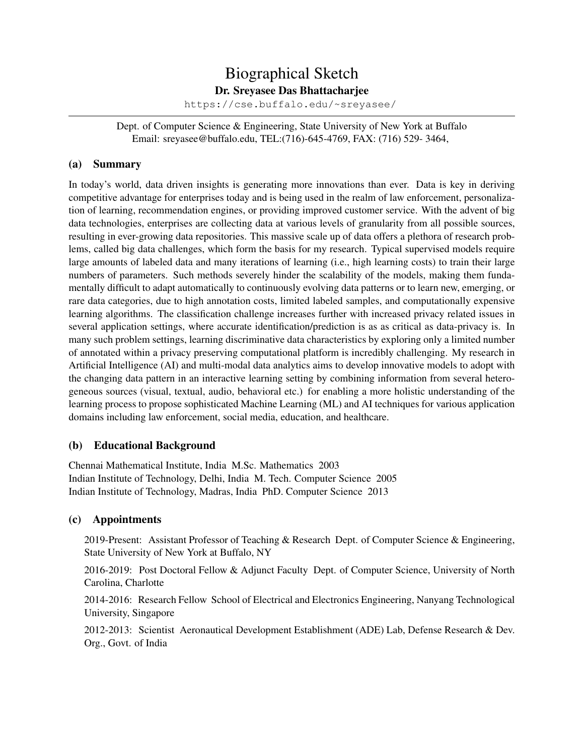# Biographical Sketch

Dr. Sreyasee Das Bhattacharjee

<https://cse.buffalo.edu/~sreyasee/>

Dept. of Computer Science & Engineering, State University of New York at Buffalo Email: sreyasee@buffalo.edu, TEL:(716)-645-4769, FAX: (716) 529- 3464,

## (a) Summary

In today's world, data driven insights is generating more innovations than ever. Data is key in deriving competitive advantage for enterprises today and is being used in the realm of law enforcement, personalization of learning, recommendation engines, or providing improved customer service. With the advent of big data technologies, enterprises are collecting data at various levels of granularity from all possible sources, resulting in ever-growing data repositories. This massive scale up of data offers a plethora of research problems, called big data challenges, which form the basis for my research. Typical supervised models require large amounts of labeled data and many iterations of learning (i.e., high learning costs) to train their large numbers of parameters. Such methods severely hinder the scalability of the models, making them fundamentally difficult to adapt automatically to continuously evolving data patterns or to learn new, emerging, or rare data categories, due to high annotation costs, limited labeled samples, and computationally expensive learning algorithms. The classification challenge increases further with increased privacy related issues in several application settings, where accurate identification/prediction is as as critical as data-privacy is. In many such problem settings, learning discriminative data characteristics by exploring only a limited number of annotated within a privacy preserving computational platform is incredibly challenging. My research in Artificial Intelligence (AI) and multi-modal data analytics aims to develop innovative models to adopt with the changing data pattern in an interactive learning setting by combining information from several heterogeneous sources (visual, textual, audio, behavioral etc.) for enabling a more holistic understanding of the learning process to propose sophisticated Machine Learning (ML) and AI techniques for various application domains including law enforcement, social media, education, and healthcare.

# (b) Educational Background

Chennai Mathematical Institute, India M.Sc. Mathematics 2003 Indian Institute of Technology, Delhi, India M. Tech. Computer Science 2005 Indian Institute of Technology, Madras, India PhD. Computer Science 2013

## (c) Appointments

2019-Present: Assistant Professor of Teaching & Research Dept. of Computer Science & Engineering, State University of New York at Buffalo, NY

2016-2019: Post Doctoral Fellow & Adjunct Faculty Dept. of Computer Science, University of North Carolina, Charlotte

2014-2016: Research Fellow School of Electrical and Electronics Engineering, Nanyang Technological University, Singapore

2012-2013: Scientist Aeronautical Development Establishment (ADE) Lab, Defense Research & Dev. Org., Govt. of India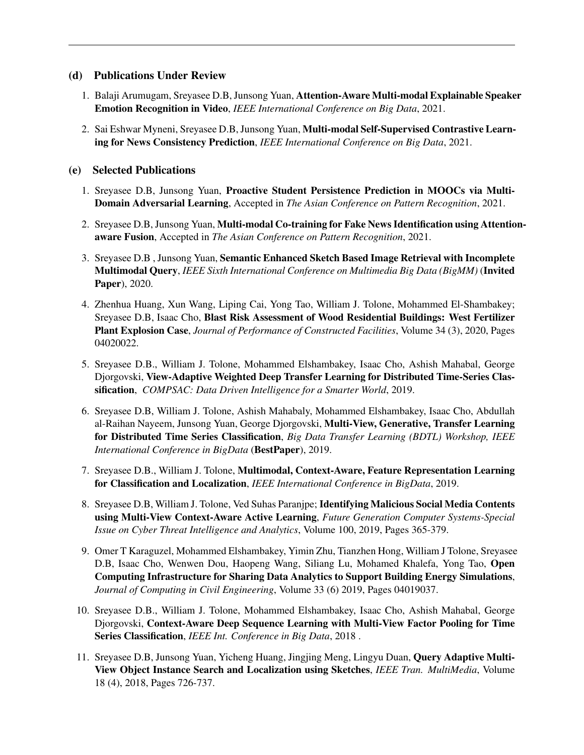## (d) Publications Under Review

- 1. Balaji Arumugam, Sreyasee D.B, Junsong Yuan, Attention-Aware Multi-modal Explainable Speaker Emotion Recognition in Video, *IEEE International Conference on Big Data*, 2021.
- 2. Sai Eshwar Myneni, Sreyasee D.B, Junsong Yuan, Multi-modal Self-Supervised Contrastive Learning for News Consistency Prediction, *IEEE International Conference on Big Data*, 2021.

# (e) Selected Publications

- 1. Sreyasee D.B, Junsong Yuan, Proactive Student Persistence Prediction in MOOCs via Multi-Domain Adversarial Learning, Accepted in *The Asian Conference on Pattern Recognition*, 2021.
- 2. Sreyasee D.B, Junsong Yuan, Multi-modal Co-training for Fake News Identification using Attentionaware Fusion, Accepted in *The Asian Conference on Pattern Recognition*, 2021.
- 3. Sreyasee D.B , Junsong Yuan, Semantic Enhanced Sketch Based Image Retrieval with Incomplete Multimodal Query, *IEEE Sixth International Conference on Multimedia Big Data (BigMM)* (Invited Paper), 2020.
- 4. Zhenhua Huang, Xun Wang, Liping Cai, Yong Tao, William J. Tolone, Mohammed El-Shambakey; Sreyasee D.B, Isaac Cho, Blast Risk Assessment of Wood Residential Buildings: West Fertilizer Plant Explosion Case, *Journal of Performance of Constructed Facilities*, Volume 34 (3), 2020, Pages 04020022.
- 5. Sreyasee D.B., William J. Tolone, Mohammed Elshambakey, Isaac Cho, Ashish Mahabal, George Djorgovski, View-Adaptive Weighted Deep Transfer Learning for Distributed Time-Series Classification, *COMPSAC: Data Driven Intelligence for a Smarter World*, 2019.
- 6. Sreyasee D.B, William J. Tolone, Ashish Mahabaly, Mohammed Elshambakey, Isaac Cho, Abdullah al-Raihan Nayeem, Junsong Yuan, George Djorgovski, Multi-View, Generative, Transfer Learning for Distributed Time Series Classification, *Big Data Transfer Learning (BDTL) Workshop, IEEE International Conference in BigData* (BestPaper), 2019.
- 7. Sreyasee D.B., William J. Tolone, Multimodal, Context-Aware, Feature Representation Learning for Classification and Localization, *IEEE International Conference in BigData*, 2019.
- 8. Sreyasee D.B, William J. Tolone, Ved Suhas Paranjpe; Identifying Malicious Social Media Contents using Multi-View Context-Aware Active Learning, *Future Generation Computer Systems-Special Issue on Cyber Threat Intelligence and Analytics*, Volume 100, 2019, Pages 365-379.
- 9. Omer T Karaguzel, Mohammed Elshambakey, Yimin Zhu, Tianzhen Hong, William J Tolone, Sreyasee D.B, Isaac Cho, Wenwen Dou, Haopeng Wang, Siliang Lu, Mohamed Khalefa, Yong Tao, Open Computing Infrastructure for Sharing Data Analytics to Support Building Energy Simulations, *Journal of Computing in Civil Engineering*, Volume 33 (6) 2019, Pages 04019037.
- 10. Sreyasee D.B., William J. Tolone, Mohammed Elshambakey, Isaac Cho, Ashish Mahabal, George Djorgovski, Context-Aware Deep Sequence Learning with Multi-View Factor Pooling for Time Series Classification, *IEEE Int. Conference in Big Data*, 2018 .
- 11. Sreyasee D.B, Junsong Yuan, Yicheng Huang, Jingjing Meng, Lingyu Duan, Query Adaptive Multi-View Object Instance Search and Localization using Sketches, *IEEE Tran. MultiMedia*, Volume 18 (4), 2018, Pages 726-737.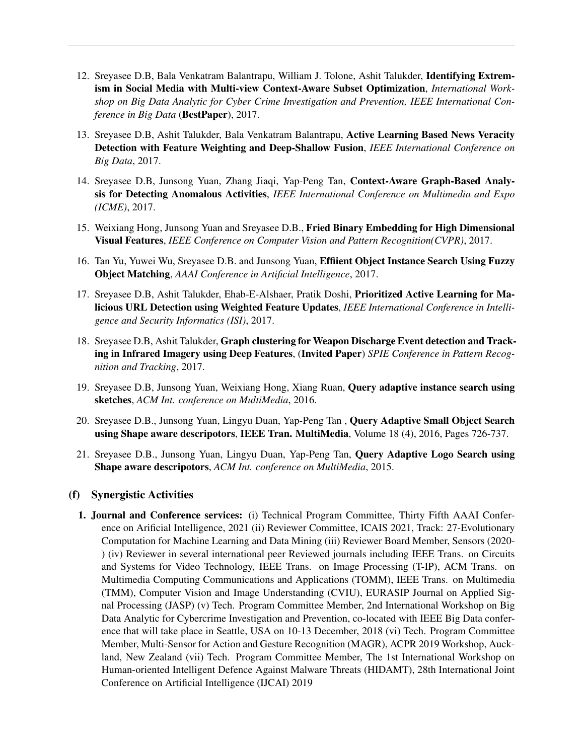- 12. Sreyasee D.B, Bala Venkatram Balantrapu, William J. Tolone, Ashit Talukder, Identifying Extremism in Social Media with Multi-view Context-Aware Subset Optimization, *International Workshop on Big Data Analytic for Cyber Crime Investigation and Prevention, IEEE International Conference in Big Data* (BestPaper), 2017.
- 13. Sreyasee D.B, Ashit Talukder, Bala Venkatram Balantrapu, Active Learning Based News Veracity Detection with Feature Weighting and Deep-Shallow Fusion, *IEEE International Conference on Big Data*, 2017.
- 14. Sreyasee D.B, Junsong Yuan, Zhang Jiaqi, Yap-Peng Tan, Context-Aware Graph-Based Analysis for Detecting Anomalous Activities, *IEEE International Conference on Multimedia and Expo (ICME)*, 2017.
- 15. Weixiang Hong, Junsong Yuan and Sreyasee D.B., Fried Binary Embedding for High Dimensional Visual Features, *IEEE Conference on Computer Vision and Pattern Recognition(CVPR)*, 2017.
- 16. Tan Yu, Yuwei Wu, Sreyasee D.B. and Junsong Yuan, Effiient Object Instance Search Using Fuzzy Object Matching, *AAAI Conference in Artificial Intelligence*, 2017.
- 17. Sreyasee D.B, Ashit Talukder, Ehab-E-Alshaer, Pratik Doshi, Prioritized Active Learning for Malicious URL Detection using Weighted Feature Updates, *IEEE International Conference in Intelligence and Security Informatics (ISI)*, 2017.
- 18. Sreyasee D.B, Ashit Talukder, Graph clustering for Weapon Discharge Event detection and Tracking in Infrared Imagery using Deep Features, (Invited Paper) *SPIE Conference in Pattern Recognition and Tracking*, 2017.
- 19. Sreyasee D.B, Junsong Yuan, Weixiang Hong, Xiang Ruan, Query adaptive instance search using sketches, *ACM Int. conference on MultiMedia*, 2016.
- 20. Sreyasee D.B., Junsong Yuan, Lingyu Duan, Yap-Peng Tan , Query Adaptive Small Object Search using Shape aware descripotors, IEEE Tran. MultiMedia, Volume 18 (4), 2016, Pages 726-737.
- 21. Sreyasee D.B., Junsong Yuan, Lingyu Duan, Yap-Peng Tan, Query Adaptive Logo Search using Shape aware descripotors, *ACM Int. conference on MultiMedia*, 2015.

#### (f) Synergistic Activities

1. Journal and Conference services: (i) Technical Program Committee, Thirty Fifth AAAI Conference on Arificial Intelligence, 2021 (ii) Reviewer Committee, ICAIS 2021, Track: 27-Evolutionary Computation for Machine Learning and Data Mining (iii) Reviewer Board Member, Sensors (2020- ) (iv) Reviewer in several international peer Reviewed journals including IEEE Trans. on Circuits and Systems for Video Technology, IEEE Trans. on Image Processing (T-IP), ACM Trans. on Multimedia Computing Communications and Applications (TOMM), IEEE Trans. on Multimedia (TMM), Computer Vision and Image Understanding (CVIU), EURASIP Journal on Applied Signal Processing (JASP) (v) Tech. Program Committee Member, 2nd International Workshop on Big Data Analytic for Cybercrime Investigation and Prevention, co-located with IEEE Big Data conference that will take place in Seattle, USA on 10-13 December, 2018 (vi) Tech. Program Committee Member, Multi-Sensor for Action and Gesture Recognition (MAGR), ACPR 2019 Workshop, Auckland, New Zealand (vii) Tech. Program Committee Member, The 1st International Workshop on Human-oriented Intelligent Defence Against Malware Threats (HIDAMT), 28th International Joint Conference on Artificial Intelligence (IJCAI) 2019